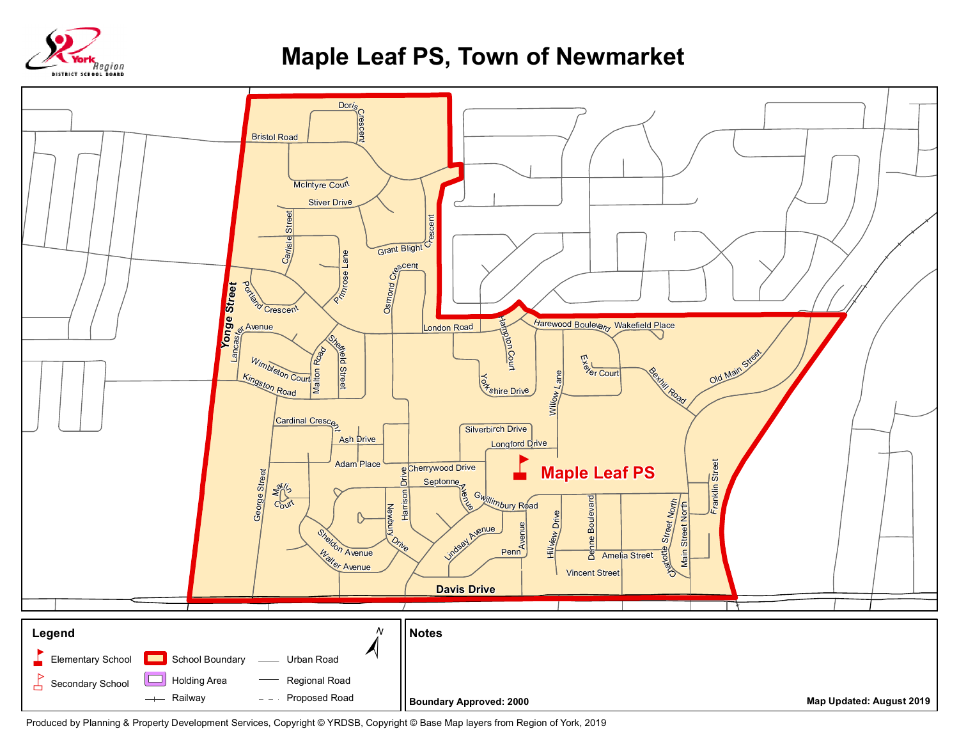

## **Maple Leaf PS, Town of Newmarket**



Produced by Planning & Property Development Services, Copyright © YRDSB, Copyright © Base Map layers from Region of York, 2019